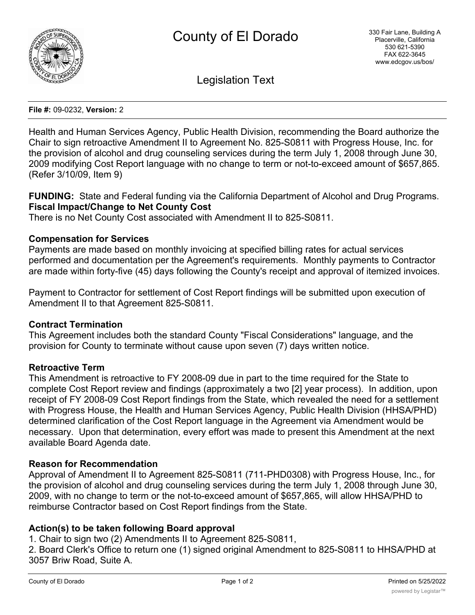

Legislation Text

#### **File #:** 09-0232, **Version:** 2

Health and Human Services Agency, Public Health Division, recommending the Board authorize the Chair to sign retroactive Amendment II to Agreement No. 825-S0811 with Progress House, Inc. for the provision of alcohol and drug counseling services during the term July 1, 2008 through June 30, 2009 modifying Cost Report language with no change to term or not-to-exceed amount of \$657,865. (Refer 3/10/09, Item 9)

**FUNDING:** State and Federal funding via the California Department of Alcohol and Drug Programs. **Fiscal Impact/Change to Net County Cost**

There is no Net County Cost associated with Amendment II to 825-S0811.

## **Compensation for Services**

Payments are made based on monthly invoicing at specified billing rates for actual services performed and documentation per the Agreement's requirements. Monthly payments to Contractor are made within forty-five (45) days following the County's receipt and approval of itemized invoices.

Payment to Contractor for settlement of Cost Report findings will be submitted upon execution of Amendment II to that Agreement 825-S0811.

### **Contract Termination**

This Agreement includes both the standard County "Fiscal Considerations" language, and the provision for County to terminate without cause upon seven (7) days written notice.

### **Retroactive Term**

This Amendment is retroactive to FY 2008-09 due in part to the time required for the State to complete Cost Report review and findings (approximately a two [2] year process). In addition, upon receipt of FY 2008-09 Cost Report findings from the State, which revealed the need for a settlement with Progress House, the Health and Human Services Agency, Public Health Division (HHSA/PHD) determined clarification of the Cost Report language in the Agreement via Amendment would be necessary. Upon that determination, every effort was made to present this Amendment at the next available Board Agenda date.

### **Reason for Recommendation**

Approval of Amendment II to Agreement 825-S0811 (711-PHD0308) with Progress House, Inc., for the provision of alcohol and drug counseling services during the term July 1, 2008 through June 30, 2009, with no change to term or the not-to-exceed amount of \$657,865, will allow HHSA/PHD to reimburse Contractor based on Cost Report findings from the State.

# **Action(s) to be taken following Board approval**

1. Chair to sign two (2) Amendments II to Agreement 825-S0811,

2. Board Clerk's Office to return one (1) signed original Amendment to 825-S0811 to HHSA/PHD at 3057 Briw Road, Suite A.